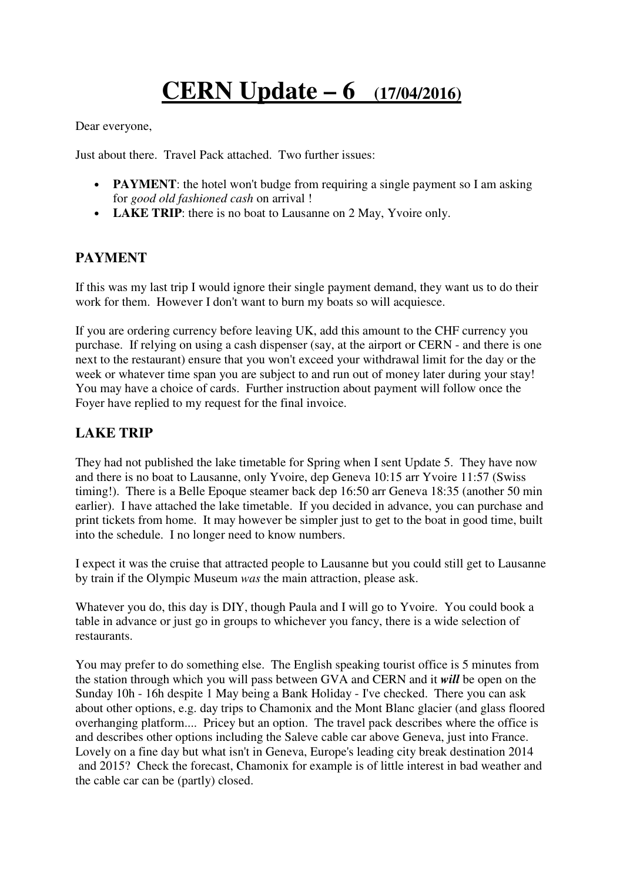## **CERN Update – 6 (17/04/2016)**

Dear everyone,

Just about there. Travel Pack attached. Two further issues:

- **PAYMENT**: the hotel won't budge from requiring a single payment so I am asking for *good old fashioned cash* on arrival !
- **LAKE TRIP**: there is no boat to Lausanne on 2 May, Yvoire only.

## **PAYMENT**

If this was my last trip I would ignore their single payment demand, they want us to do their work for them. However I don't want to burn my boats so will acquiesce.

If you are ordering currency before leaving UK, add this amount to the CHF currency you purchase. If relying on using a cash dispenser (say, at the airport or CERN - and there is one next to the restaurant) ensure that you won't exceed your withdrawal limit for the day or the week or whatever time span you are subject to and run out of money later during your stay! You may have a choice of cards. Further instruction about payment will follow once the Foyer have replied to my request for the final invoice.

## **LAKE TRIP**

They had not published the lake timetable for Spring when I sent Update 5. They have now and there is no boat to Lausanne, only Yvoire, dep Geneva 10:15 arr Yvoire 11:57 (Swiss timing!). There is a Belle Epoque steamer back dep 16:50 arr Geneva 18:35 (another 50 min earlier). I have attached the lake timetable. If you decided in advance, you can purchase and print tickets from home. It may however be simpler just to get to the boat in good time, built into the schedule. I no longer need to know numbers.

I expect it was the cruise that attracted people to Lausanne but you could still get to Lausanne by train if the Olympic Museum *was* the main attraction, please ask.

Whatever you do, this day is DIY, though Paula and I will go to Yvoire. You could book a table in advance or just go in groups to whichever you fancy, there is a wide selection of restaurants.

You may prefer to do something else. The English speaking tourist office is 5 minutes from the station through which you will pass between GVA and CERN and it *will* be open on the Sunday 10h - 16h despite 1 May being a Bank Holiday - I've checked. There you can ask about other options, e.g. day trips to Chamonix and the Mont Blanc glacier (and glass floored overhanging platform.... Pricey but an option. The travel pack describes where the office is and describes other options including the Saleve cable car above Geneva, just into France. Lovely on a fine day but what isn't in Geneva, Europe's leading city break destination 2014 and 2015? Check the forecast, Chamonix for example is of little interest in bad weather and the cable car can be (partly) closed.